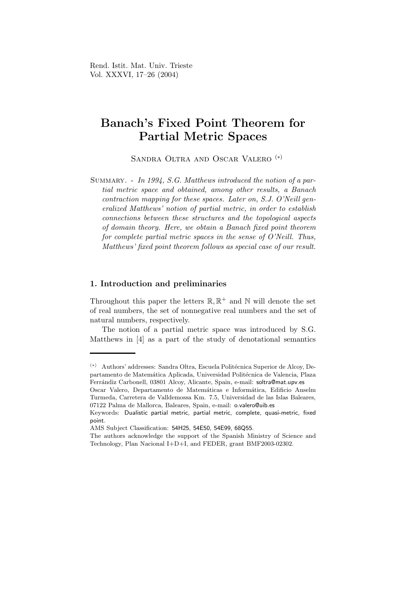Rend. Istit. Mat. Univ. Trieste Vol. XXXVI, 17–26 (2004)

# Banach's Fixed Point Theorem for Partial Metric Spaces

Sandra Oltra and Oscar Valero (∗)

SUMMARY. - In 1994, S.G. Matthews introduced the notion of a partial metric space and obtained, among other results, a Banach contraction mapping for these spaces. Later on, S.J. O'Neill generalized Matthews' notion of partial metric, in order to establish connections between these structures and the topological aspects of domain theory. Here, we obtain a Banach fixed point theorem for complete partial metric spaces in the sense of O'Neill. Thus, Matthews' fixed point theorem follows as special case of our result.

### 1. Introduction and preliminaries

Throughout this paper the letters  $\mathbb{R}, \mathbb{R}^+$  and  $\mathbb{N}$  will denote the set of real numbers, the set of nonnegative real numbers and the set of natural numbers, respectively.

The notion of a partial metric space was introduced by S.G. Matthews in [4] as a part of the study of denotational semantics

<sup>(\*)</sup> Authors' addresses: Sandra Oltra, Escuela Politécnica Superior de Alcoy, Departamento de Matemática Aplicada, Universidad Politécnica de Valencia, Plaza Ferrándiz Carbonell, 03801 Alcoy, Alicante, Spain, e-mail: soltra@mat.upv.es

Oscar Valero, Departamento de Matemáticas e Informática, Edificio Anselm Turmeda, Carretera de Valldemossa Km. 7.5, Universidad de las Islas Baleares, 07122 Palma de Mallorca, Baleares, Spain, e-mail: o.valero@uib.es

Keywords: Dualistic partial metric, partial metric, complete, quasi-metric, fixed point.

AMS Subject Classification: 54H25, 54E50, 54E99, 68Q55.

The authors acknowledge the support of the Spanish Ministry of Science and Technology, Plan Nacional I+D+I, and FEDER, grant BMF2003-02302.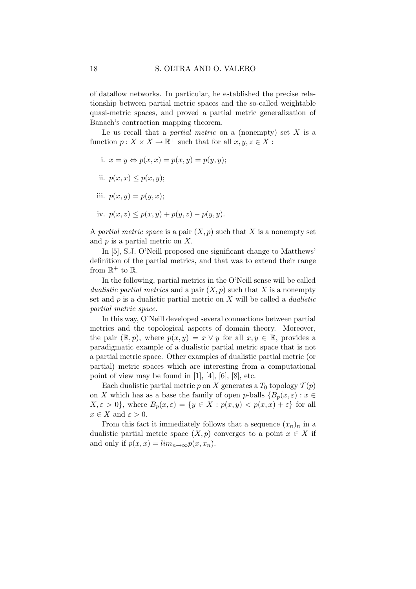of dataflow networks. In particular, he established the precise relationship between partial metric spaces and the so-called weightable quasi-metric spaces, and proved a partial metric generalization of Banach's contraction mapping theorem.

Le us recall that a *partial metric* on a (nonempty) set  $X$  is a function  $p: X \times X \to \mathbb{R}^+$  such that for all  $x, y, z \in X$ :

- i.  $x = y \Leftrightarrow p(x, x) = p(x, y) = p(y, y);$
- ii.  $p(x, x) \leq p(x, y)$ ;
- iii.  $p(x, y) = p(y, x)$ ;
- iv.  $p(x, z) \leq p(x, y) + p(y, z) p(y, y)$ .

A partial metric space is a pair  $(X, p)$  such that X is a nonempty set and  $p$  is a partial metric on  $X$ .

In [5], S.J. O'Neill proposed one significant change to Matthews' definition of the partial metrics, and that was to extend their range from  $\mathbb{R}^+$  to  $\mathbb{R}$ .

In the following, partial metrics in the O'Neill sense will be called dualistic partial metrics and a pair  $(X, p)$  such that X is a nonempty set and  $p$  is a dualistic partial metric on  $X$  will be called a *dualistic* partial metric space.

In this way, O'Neill developed several connections between partial metrics and the topological aspects of domain theory. Moreover, the pair  $(\mathbb{R}, p)$ , where  $p(x, y) = x \vee y$  for all  $x, y \in \mathbb{R}$ , provides a paradigmatic example of a dualistic partial metric space that is not a partial metric space. Other examples of dualistic partial metric (or partial) metric spaces which are interesting from a computational point of view may be found in  $[1]$ ,  $[4]$ ,  $[6]$ ,  $[8]$ , etc.

Each dualistic partial metric p on X generates a  $T_0$  topology  $\mathcal{T}(p)$ on X which has as a base the family of open p-balls  ${B_p(x, \varepsilon): x \in \mathbb{R}^n}$  $X, \varepsilon > 0$ , where  $B_p(x, \varepsilon) = \{y \in X : p(x, y) < p(x, x) + \varepsilon\}$  for all  $x \in X$  and  $\varepsilon > 0$ .

From this fact it immediately follows that a sequence  $(x_n)_n$  in a dualistic partial metric space  $(X, p)$  converges to a point  $x \in X$  if and only if  $p(x, x) = lim_{n\to\infty} p(x, x_n)$ .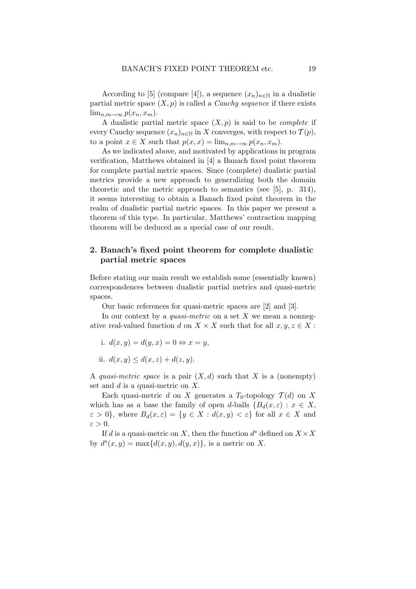According to [5] (compare [4]), a sequence  $(x_n)_{n\in\mathbb{N}}$  in a dualistic partial metric space  $(X, p)$  is called a *Cauchy sequence* if there exists  $\lim_{n,m\to\infty}p(x_n,x_m).$ 

A dualistic partial metric space  $(X, p)$  is said to be *complete* if every Cauchy sequence  $(x_n)_{n\in\mathbb{N}}$  in X converges, with respect to  $\mathcal{T}(p)$ , to a point  $x \in X$  such that  $p(x, x) = \lim_{n \to \infty} p(x_n, x_m)$ .

As we indicated above, and motivated by applications in program verification, Matthews obtained in [4] a Banach fixed point theorem for complete partial metric spaces. Since (complete) dualistic partial metrics provide a new approach to generalizing both the domain theoretic and the metric approach to semantics (see [5], p. 314), it seems interesting to obtain a Banach fixed point theorem in the realm of dualistic partial metric spaces. In this paper we present a theorem of this type. In particular, Matthews' contraction mapping theorem will be deduced as a special case of our result.

# 2. Banach's fixed point theorem for complete dualistic partial metric spaces

Before stating our main result we establish some (essentially known) correspondences between dualistic partial metrics and quasi-metric spaces.

Our basic references for quasi-metric spaces are [2] and [3].

In our context by a *quasi-metric* on a set  $X$  we mean a nonnegative real-valued function d on  $X \times X$  such that for all  $x, y, z \in X$ :

- i.  $d(x, y) = d(y, x) = 0 \Leftrightarrow x = y$ ,
- ii.  $d(x, y) \leq d(x, z) + d(z, y)$ .

A quasi-metric space is a pair  $(X, d)$  such that X is a (nonempty) set and  $d$  is a quasi-metric on  $X$ .

Each quasi-metric d on X generates a  $T_0$ -topology  $\mathcal{T}(d)$  on X which has as a base the family of open d-balls  ${B_d(x, \varepsilon): x \in X}$ ,  $\varepsilon > 0$ , where  $B_d(x, \varepsilon) = \{y \in X : d(x, y) < \varepsilon\}$  for all  $x \in X$  and  $\varepsilon > 0$ .

If d is a quasi-metric on X, then the function  $d^s$  defined on  $X \times X$ by  $d^{s}(x, y) = \max\{d(x, y), d(y, x)\}\text{, is a metric on } X$ .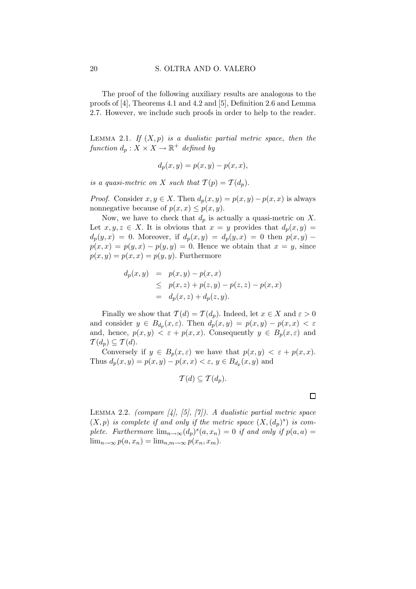The proof of the following auxiliary results are analogous to the proofs of [4], Theorems 4.1 and 4.2 and [5], Definition 2.6 and Lemma 2.7. However, we include such proofs in order to help to the reader.

LEMMA 2.1. If  $(X, p)$  is a dualistic partial metric space, then the function  $d_p: X \times X \to \mathbb{R}^+$  defined by

$$
d_p(x, y) = p(x, y) - p(x, x),
$$

is a quasi-metric on X such that  $\mathcal{T}(p) = \mathcal{T}(d_p)$ .

*Proof.* Consider  $x, y \in X$ . Then  $d_p(x, y) = p(x, y) - p(x, x)$  is always nonnegative because of  $p(x, x) \leq p(x, y)$ .

Now, we have to check that  $d_p$  is actually a quasi-metric on X. Let  $x, y, z \in X$ . It is obvious that  $x = y$  provides that  $d_p(x, y) =$  $d_p(y, x) = 0$ . Moreover, if  $d_p(x, y) = d_p(y, x) = 0$  then  $p(x, y)$  –  $p(x, x) = p(y, x) - p(y, y) = 0$ . Hence we obtain that  $x = y$ , since  $p(x, y) = p(x, x) = p(y, y)$ . Furthermore

$$
d_p(x, y) = p(x, y) - p(x, x)
$$
  
\n
$$
\leq p(x, z) + p(z, y) - p(z, z) - p(x, x)
$$
  
\n
$$
= d_p(x, z) + d_p(z, y).
$$

Finally we show that  $\mathcal{T}(d) = \mathcal{T}(d_p)$ . Indeed, let  $x \in X$  and  $\varepsilon > 0$ and consider  $y \in B_{d_p}(x,\varepsilon)$ . Then  $d_p(x,y) = p(x,y) - p(x,x) < \varepsilon$ and, hence,  $p(x, y) < \varepsilon + p(x, x)$ . Consequently  $y \in B_p(x, \varepsilon)$  and  $T(d_p) \subseteq T(d)$ .

Conversely if  $y \in B_p(x, \varepsilon)$  we have that  $p(x, y) < \varepsilon + p(x, x)$ . Thus  $d_p(x, y) = p(x, y) - p(x, x) < \varepsilon$ ,  $y \in B_{d_p}(x, y)$  and

$$
\mathcal{T}(d) \subseteq \mathcal{T}(d_p).
$$

LEMMA 2.2. (compare  $\vert 4 \vert$ ,  $\vert 5 \vert$ ,  $\vert 7 \vert$ ). A dualistic partial metric space  $(X, p)$  is complete if and only if the metric space  $(X, (d_p)^s)$  is complete. Furthermore  $\lim_{n\to\infty} (d_p)^s(a,x_n) = 0$  if and only if  $p(a,a) =$  $\lim_{n\to\infty} p(a, x_n) = \lim_{n,m\to\infty} p(x_n, x_m).$ 

 $\Box$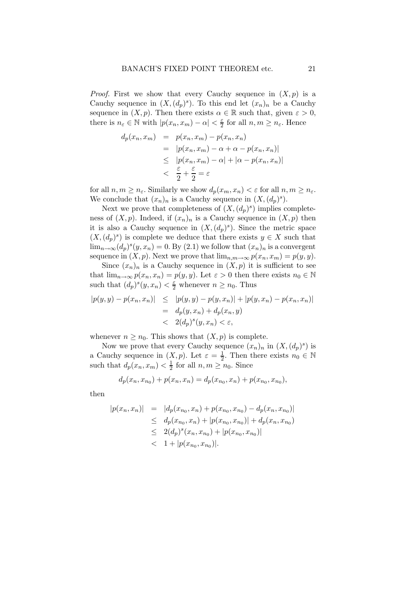*Proof.* First we show that every Cauchy sequence in  $(X, p)$  is a Cauchy sequence in  $(X, (d_p)^s)$ . To this end let  $(x_n)_n$  be a Cauchy sequence in  $(X, p)$ . Then there exists  $\alpha \in \mathbb{R}$  such that, given  $\varepsilon > 0$ , there is  $n_{\varepsilon} \in \mathbb{N}$  with  $|p(x_n, x_m) - \alpha| < \frac{\varepsilon}{2}$  $\frac{\varepsilon}{2}$  for all  $n, m \geq n_{\varepsilon}$ . Hence

$$
d_p(x_n, x_m) = p(x_n, x_m) - p(x_n, x_n)
$$
  
= 
$$
|p(x_n, x_m) - \alpha + \alpha - p(x_n, x_n)|
$$
  

$$
\leq |p(x_n, x_m) - \alpha| + |\alpha - p(x_n, x_n)|
$$
  

$$
< \frac{\varepsilon}{2} + \frac{\varepsilon}{2} = \varepsilon
$$

for all  $n, m \geq n_{\varepsilon}$ . Similarly we show  $d_p(x_m, x_n) < \varepsilon$  for all  $n, m \geq n_{\varepsilon}$ . We conclude that  $(x_n)_n$  is a Cauchy sequence in  $(X, (d_p)^s)$ .

Next we prove that completeness of  $(X, (d_p)^s)$  implies completeness of  $(X, p)$ . Indeed, if  $(x_n)_n$  is a Cauchy sequence in  $(X, p)$  then it is also a Cauchy sequence in  $(X, (d_p)^s)$ . Since the metric space  $(X, (d_p)^s)$  is complete we deduce that there exists  $y \in X$  such that  $\lim_{n\to\infty} (d_p)^s(y,x_n) = 0.$  By  $(2.1)$  we follow that  $(x_n)_n$  is a convergent sequence in  $(X, p)$ . Next we prove that  $\lim_{n,m\to\infty} p(x_n, x_m) = p(y, y)$ .

Since  $(x_n)_n$  is a Cauchy sequence in  $(X, p)$  it is sufficient to see that  $\lim_{n\to\infty} p(x_n, x_n) = p(y, y)$ . Let  $\varepsilon > 0$  then there exists  $n_0 \in \mathbb{N}$ such that  $(d_p)^s(y, x_n) < \frac{\varepsilon}{2}$  whenever  $n \ge n_0$ . Thus

$$
|p(y, y) - p(x_n, x_n)| \le |p(y, y) - p(y, x_n)| + |p(y, x_n) - p(x_n, x_n)|
$$
  
=  $d_p(y, x_n) + d_p(x_n, y)$   
<  $2(d_p)^s(y, x_n) < \varepsilon$ ,

whenever  $n \geq n_0$ . This shows that  $(X, p)$  is complete.

Now we prove that every Cauchy sequence  $(x_n)_n$  in  $(X, (d_p)^s)$  is a Cauchy sequence in  $(X, p)$ . Let  $\varepsilon = \frac{1}{2}$  $\frac{1}{2}$ . Then there exists  $n_0 \in \mathbb{N}$ such that  $d_p(x_n, x_m) < \frac{1}{2}$  $\frac{1}{2}$  for all  $n, m \geq n_0$ . Since

$$
d_p(x_n, x_{n_0}) + p(x_n, x_n) = d_p(x_{n_0}, x_n) + p(x_{n_0}, x_{n_0}),
$$

then

$$
|p(x_n, x_n)| = |d_p(x_{n_0}, x_n) + p(x_{n_0}, x_{n_0}) - d_p(x_n, x_{n_0})|
$$
  
\n
$$
\leq d_p(x_{n_0}, x_n) + |p(x_{n_0}, x_{n_0})| + d_p(x_n, x_{n_0})
$$
  
\n
$$
\leq 2(d_p)^s(x_n, x_{n_0}) + |p(x_{n_0}, x_{n_0})|
$$
  
\n
$$
< 1 + |p(x_{n_0}, x_{n_0})|.
$$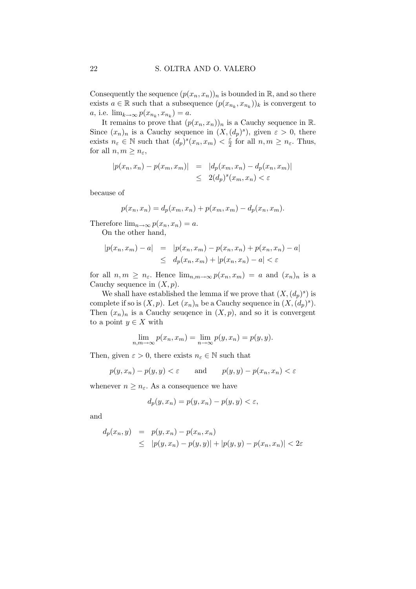Consequently the sequence  $(p(x_n, x_n))_n$  is bounded in R, and so there exists  $a \in \mathbb{R}$  such that a subsequence  $(p(x_{n_k}, x_{n_k}))_k$  is convergent to *a*, i.e.  $\lim_{k\to\infty} p(x_{n_k}, x_{n_k}) = a$ .

It remains to prove that  $(p(x_n, x_n))_n$  is a Cauchy sequence in  $\mathbb{R}$ . Since  $(x_n)_n$  is a Cauchy sequence in  $(X, (d_p)^s)$ , given  $\varepsilon > 0$ , there exists  $n_{\varepsilon} \in \mathbb{N}$  such that  $(d_p)^s(x_n, x_m) < \frac{\varepsilon}{2}$  for all  $n, m \ge n_{\varepsilon}$ . Thus, for all  $n, m \geq n_{\varepsilon}$ ,

$$
|p(x_n, x_n) - p(x_m, x_m)| = |d_p(x_m, x_n) - d_p(x_n, x_m)|
$$
  

$$
\leq 2(d_p)^s(x_m, x_n) < \varepsilon
$$

because of

$$
p(x_n, x_n) = d_p(x_m, x_n) + p(x_m, x_m) - d_p(x_n, x_m).
$$

Therefore  $\lim_{n\to\infty} p(x_n, x_n) = a$ .

On the other hand,

$$
|p(x_n, x_m) - a| = |p(x_n, x_m) - p(x_n, x_n) + p(x_n, x_n) - a|
$$
  
\n
$$
\leq d_p(x_n, x_m) + |p(x_n, x_n) - a| < \varepsilon
$$

for all  $n, m \geq n_{\varepsilon}$ . Hence  $\lim_{n,m \to \infty} p(x_n, x_m) = a$  and  $(x_n)_n$  is a Cauchy sequence in  $(X, p)$ .

We shall have established the lemma if we prove that  $(X, (d_p)^s)$  is complete if so is  $(X, p)$ . Let  $(x_n)_n$  be a Cauchy sequence in  $(X, (d_p)^s)$ . Then  $(x_n)_n$  is a Cauchy seuqence in  $(X, p)$ , and so it is convergent to a point  $y \in X$  with

$$
\lim_{n,m \to \infty} p(x_n, x_m) = \lim_{n \to \infty} p(y, x_n) = p(y, y).
$$

Then, given  $\varepsilon > 0$ , there exists  $n_{\varepsilon} \in \mathbb{N}$  such that

$$
p(y, x_n) - p(y, y) < \varepsilon
$$
 and  $p(y, y) - p(x_n, x_n) < \varepsilon$ 

whenever  $n \geq n_{\varepsilon}$ . As a consequence we have

$$
d_p(y, x_n) = p(y, x_n) - p(y, y) < \varepsilon,
$$

and

$$
d_p(x_n, y) = p(y, x_n) - p(x_n, x_n)
$$
  
\$\leq |p(y, x\_n) - p(y, y)| + |p(y, y) - p(x\_n, x\_n)| < 2\varepsilon\$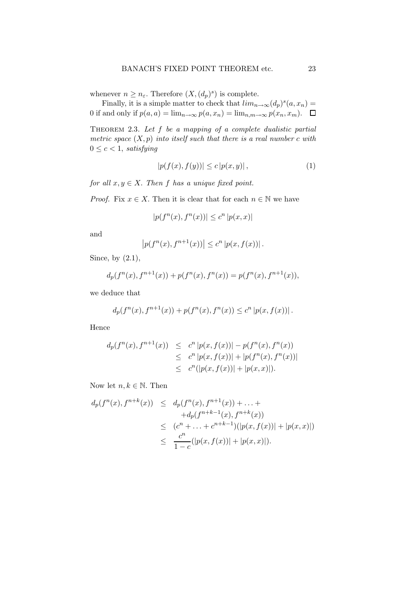whenever  $n \geq n_{\varepsilon}$ . Therefore  $(X, (d_p)^s)$  is complete.

Finally, it is a simple matter to check that  $\lim_{n\to\infty} (d_p)^s(a, x_n) =$ 0 if and only if  $p(a, a) = \lim_{n \to \infty} p(a, x_n) = \lim_{n \to \infty} p(x_n, x_m)$ .  $\Box$ 

THEOREM 2.3. Let  $f$  be a mapping of a complete dualistic partial metric space  $(X, p)$  into itself such that there is a real number c with  $0 \leq c < 1$ , satisfying

$$
|p(f(x), f(y))| \le c |p(x, y)|,
$$
\n(1)

for all  $x, y \in X$ . Then f has a unique fixed point.

*Proof.* Fix  $x \in X$ . Then it is clear that for each  $n \in \mathbb{N}$  we have

$$
|p(f^{n}(x), f^{n}(x))| \leq c^{n} |p(x, x)|
$$

and

$$
|p(f^{n}(x), f^{n+1}(x))| \leq c^{n} |p(x, f(x))|.
$$

Since, by (2.1),

$$
d_p(f^n(x), f^{n+1}(x)) + p(f^n(x), f^n(x)) = p(f^n(x), f^{n+1}(x)),
$$

we deduce that

$$
d_p(f^{n}(x), f^{n+1}(x)) + p(f^{n}(x), f^{n}(x)) \le c^n |p(x, f(x))|.
$$

Hence

$$
d_p(f^n(x), f^{n+1}(x)) \leq c^n |p(x, f(x))| - p(f^n(x), f^n(x))
$$
  
\n
$$
\leq c^n |p(x, f(x))| + |p(f^n(x), f^n(x))|
$$
  
\n
$$
\leq c^n (|p(x, f(x))| + |p(x, x)|).
$$

Now let  $n, k \in \mathbb{N}$ . Then

$$
d_p(f^n(x), f^{n+k}(x)) \leq d_p(f^n(x), f^{n+1}(x)) + \dots +
$$
  
\n
$$
+ d_p(f^{n+k-1}(x), f^{n+k}(x))
$$
  
\n
$$
\leq (c^n + \dots + c^{n+k-1})(|p(x, f(x))| + |p(x, x)|)
$$
  
\n
$$
\leq \frac{c^n}{1 - c} (|p(x, f(x))| + |p(x, x)|).
$$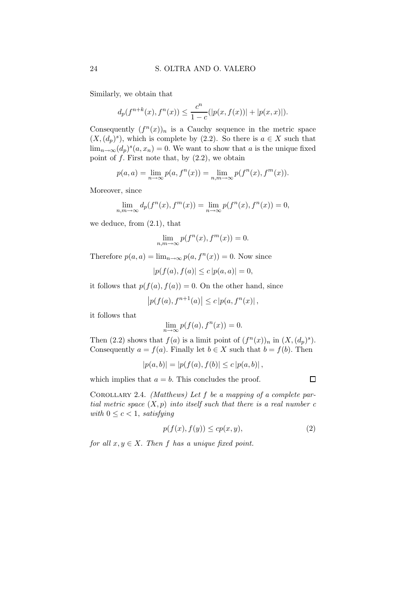Similarly, we obtain that

$$
d_p(f^{n+k}(x), f^n(x)) \le \frac{c^n}{1-c} (|p(x, f(x))| + |p(x, x)|).
$$

Consequently  $(f^n(x))_n$  is a Cauchy sequence in the metric space  $(X, (d_p)^s)$ , which is complete by (2.2). So there is  $a \in X$  such that  $\lim_{n\to\infty} (d_p)^s$   $(a, x_n) = 0$ . We want to show that a is the unique fixed point of  $f$ . First note that, by  $(2.2)$ , we obtain

$$
p(a, a) = \lim_{n \to \infty} p(a, f^{n}(x)) = \lim_{n,m \to \infty} p(f^{n}(x), f^{m}(x)).
$$

Moreover, since

$$
\lim_{n,m \to \infty} d_p(f^n(x), f^m(x)) = \lim_{n \to \infty} p(f^n(x), f^n(x)) = 0,
$$

we deduce, from (2.1), that

$$
\lim_{n,m \to \infty} p(f^n(x), f^m(x)) = 0.
$$

Therefore  $p(a, a) = \lim_{n \to \infty} p(a, f^n(x)) = 0$ . Now since

$$
|p(f(a), f(a)| \le c |p(a, a)| = 0,
$$

it follows that  $p(f(a), f(a)) = 0$ . On the other hand, since

$$
|p(f(a), f^{n+1}(a)| \le c |p(a, f^{n}(x)|,
$$

it follows that

$$
\lim_{n \to \infty} p(f(a), f^n(x)) = 0.
$$

Then (2.2) shows that  $f(a)$  is a limit point of  $(f^{n}(x))_{n}$  in  $(X, (d_p)^{s})$ . Consequently  $a = f(a)$ . Finally let  $b \in X$  such that  $b = f(b)$ . Then

$$
|p(a,b)| = |p(f(a), f(b)| \le c |p(a,b)|,
$$

which implies that  $a = b$ . This concludes the proof.

COROLLARY 2.4. (Matthews) Let  $f$  be a mapping of a complete partial metric space  $(X, p)$  into itself such that there is a real number c with  $0 \leq c < 1$ , satisfying

$$
p(f(x), f(y)) \le c p(x, y),\tag{2}
$$

for all  $x, y \in X$ . Then f has a unique fixed point.

 $\Box$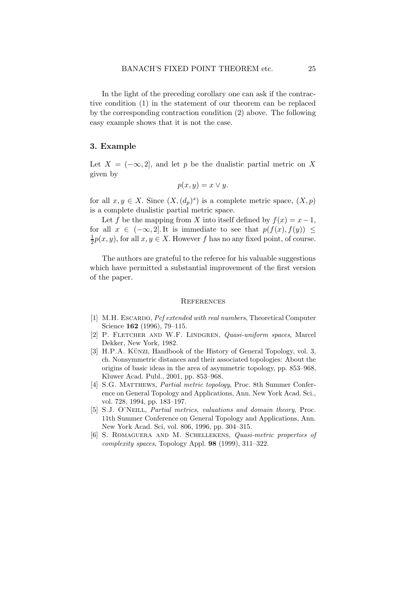In the light of the preceding corollary one can ask if the contractive condition (1) in the statement of our theorem can be replaced by the corresponding contraction condition (2) above. The following easy example shows that it is not the case.

## 3. Example

Let  $X = (-\infty, 2]$ , and let p be the dualistic partial metric on X given by

$$
p(x, y) = x \vee y.
$$

for all  $x, y \in X$ . Since  $(X, (d_p)^s)$  is a complete metric space,  $(X, p)$ is a complete dualistic partial metric space.

Let f be the mapping from X into itself defined by  $f(x) = x-1$ , for all  $x \in (-\infty, 2]$ . It is immediate to see that  $p(f(x), f(y)) \leq$ 1  $\frac{1}{2}p(x, y)$ , for all  $x, y \in X$ . However f has no any fixed point, of course.

The authors are grateful to the referee for his valuable suggestions which have permitted a substantial improvement of the first version of the paper.

#### **REFERENCES**

- [1] M.H. ESCARDO, *Pcf extended with real numbers*, Theoretical Computer Science **162** (1996), 79-115.
- [2] P. FLETCHER AND W.F. LINDGREN, Quasi-uniform spaces, Marcel Dekker, New York, 1982.
- [3] H.P.A. KÜNZI, Handbook of the History of General Topology, vol. 3, ch. Nonsymmetric distances and their associated topologies: About the origins of basic ideas in the area of asymmetric topology, pp. 853–968, Kluwer Acad. Publ., 2001, pp. 853–968.
- [4] S.G. MATTHEWS, *Partial metric topology*, Proc. 8th Summer Conference on General Topology and Applications, Ann. New York Acad. Sci., vol. 728, 1994, pp. 183–197.
- [5] S.J. O'Neill, Partial metrics, valuations and domain theory, Proc. 11th Summer Conference on General Topology and Applications, Ann. New York Acad. Sci, vol. 806, 1996, pp. 304–315.
- [6] S. Romaguera and M. Schellekens, Quasi-metric properties of complexity spaces, Topology Appl. 98 (1999), 311–322.